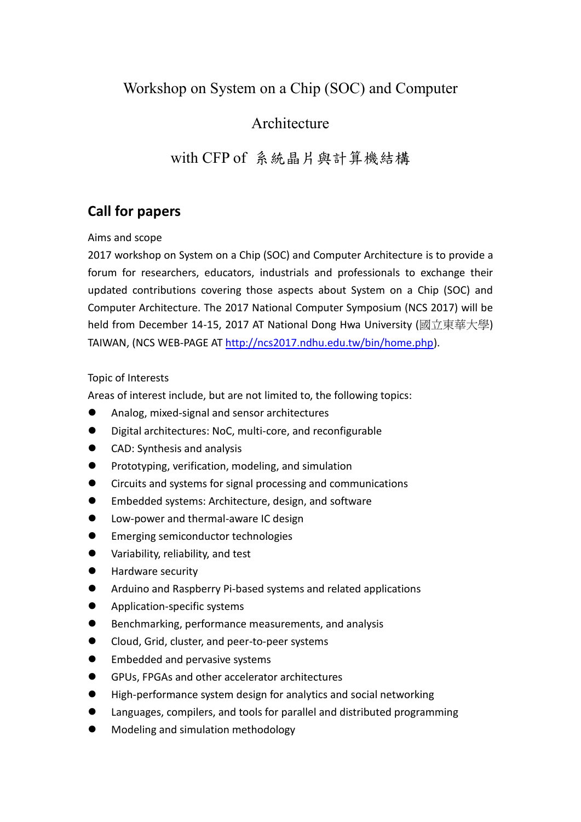# Workshop on System on a Chip (SOC) and Computer

### Architecture

## with CFP of 系統晶片與計算機結構

## **Call for papers**

#### Aims and scope

2017 workshop on System on a Chip (SOC) and Computer Architecture is to provide a forum for researchers, educators, industrials and professionals to exchange their updated contributions covering those aspects about System on a Chip (SOC) and Computer Architecture. The 2017 National Computer Symposium (NCS 2017) will be held from December 14-15, 2017 AT National Dong Hwa University (國立東華大學) TAIWAN, (NCS WEB-PAGE AT [http://ncs2017.ndhu.edu.tw/bin/home.php\)](http://ncs2017.ndhu.edu.tw/bin/home.php).

#### Topic of Interests

Areas of interest include, but are not limited to, the following topics:

- Analog, mixed-signal and sensor architectures
- Digital architectures: NoC, multi-core, and reconfigurable
- CAD: Synthesis and analysis
- Prototyping, verification, modeling, and simulation
- Circuits and systems for signal processing and communications
- Embedded systems: Architecture, design, and software
- **•** Low-power and thermal-aware IC design
- Emerging semiconductor technologies
- Variability, reliability, and test
- **Hardware security**
- Arduino and Raspberry Pi-based systems and related applications
- **•** Application-specific systems
- Benchmarking, performance measurements, and analysis
- Cloud, Grid, cluster, and peer-to-peer systems
- Embedded and pervasive systems
- GPUs, FPGAs and other accelerator architectures
- High-performance system design for analytics and social networking
- Languages, compilers, and tools for parallel and distributed programming
- Modeling and simulation methodology